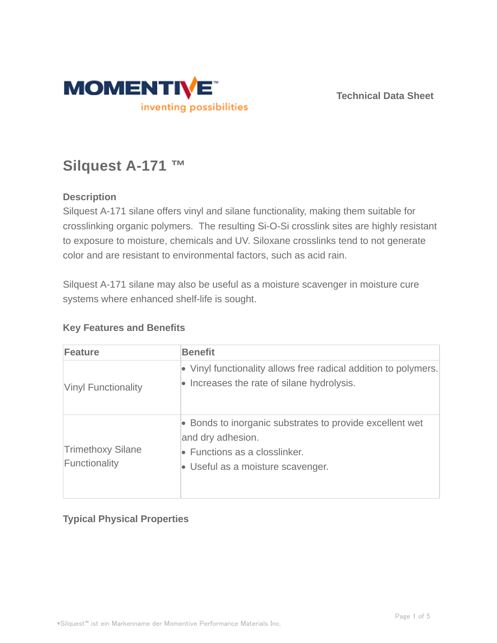

**Technical Data Sheet**

# **Silquest A-171 ™**

#### **Description**

Silquest A-171 silane offers vinyl and silane functionality, making them suitable for crosslinking organic polymers. The resulting Si-O-Si crosslink sites are highly resistant to exposure to moisture, chemicals and UV. Siloxane crosslinks tend to not generate color and are resistant to environmental factors, such as acid rain.

Silquest A-171 silane may also be useful as a moisture scavenger in moisture cure systems where enhanced shelf-life is sought.

| Feature                                   | <b>Benefit</b>                                                                                                                                              |
|-------------------------------------------|-------------------------------------------------------------------------------------------------------------------------------------------------------------|
| <b>Vinyl Functionality</b>                | • Vinyl functionality allows free radical addition to polymers.<br>• Increases the rate of silane hydrolysis.                                               |
| <b>Trimethoxy Silane</b><br>Functionality | • Bonds to inorganic substrates to provide excellent wet<br>and dry adhesion.<br>$\bullet$ Functions as a closslinker.<br>• Useful as a moisture scavenger. |

#### **Key Features and Benefits**

## **Typical Physical Properties**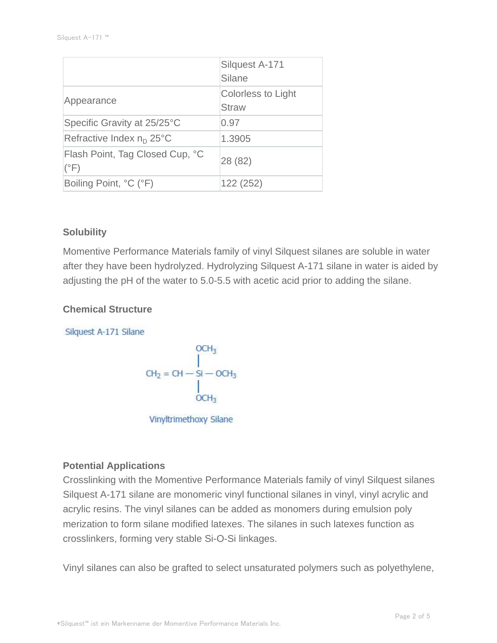|                                                  | Silquest A-171<br>Silane                  |
|--------------------------------------------------|-------------------------------------------|
| Appearance                                       | <b>Colorless to Light</b><br><b>Straw</b> |
| Specific Gravity at 25/25°C                      | 0.97                                      |
| Refractive Index $n_D$ 25°C                      | 1.3905                                    |
| Flash Point, Tag Closed Cup, °C<br>$(^{\circ}F)$ | 28 (82)                                   |
| Boiling Point, °C (°F)                           | 122 (252)                                 |

#### **Solubility**

Momentive Performance Materials family of vinyl Silquest silanes are soluble in water after they have been hydrolyzed. Hydrolyzing Silquest A-171 silane in water is aided by adjusting the pH of the water to 5.0-5.5 with acetic acid prior to adding the silane.

#### **Chemical Structure**

Silquest A-171 Silane

$$
CH2 = CH - SI - OCH3
$$
\n
$$
CH2 = CH - SI - OCH3
$$
\n
$$
OCH3
$$

Vinyltrimethoxy Silane

#### **Potential Applications**

Crosslinking with the Momentive Performance Materials family of vinyl Silquest silanes Silquest A-171 silane are monomeric vinyl functional silanes in vinyl, vinyl acrylic and acrylic resins. The vinyl silanes can be added as monomers during emulsion poly merization to form silane modified latexes. The silanes in such latexes function as crosslinkers, forming very stable Si-O-Si linkages.

Vinyl silanes can also be grafted to select unsaturated polymers such as polyethylene,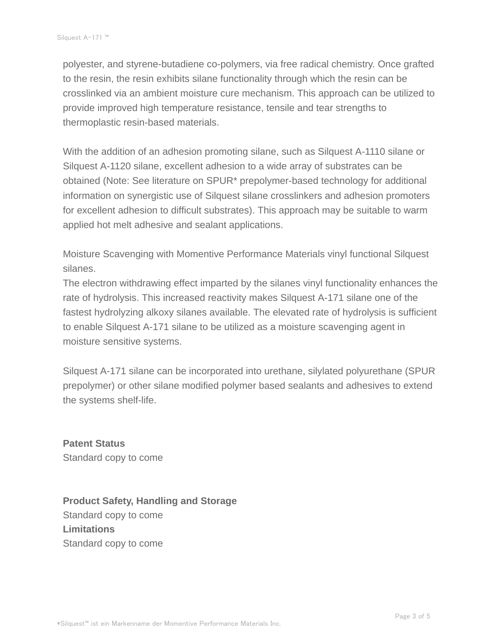polyester, and styrene-butadiene co-polymers, via free radical chemistry. Once grafted to the resin, the resin exhibits silane functionality through which the resin can be crosslinked via an ambient moisture cure mechanism. This approach can be utilized to provide improved high temperature resistance, tensile and tear strengths to thermoplastic resin-based materials.

With the addition of an adhesion promoting silane, such as Silquest A-1110 silane or Silquest A-1120 silane, excellent adhesion to a wide array of substrates can be obtained (Note: See literature on SPUR\* prepolymer-based technology for additional information on synergistic use of Silquest silane crosslinkers and adhesion promoters for excellent adhesion to difficult substrates). This approach may be suitable to warm applied hot melt adhesive and sealant applications.

Moisture Scavenging with Momentive Performance Materials vinyl functional Silquest silanes.

The electron withdrawing effect imparted by the silanes vinyl functionality enhances the rate of hydrolysis. This increased reactivity makes Silquest A-171 silane one of the fastest hydrolyzing alkoxy silanes available. The elevated rate of hydrolysis is sufficient to enable Silquest A-171 silane to be utilized as a moisture scavenging agent in moisture sensitive systems.

Silquest A-171 silane can be incorporated into urethane, silylated polyurethane (SPUR prepolymer) or other silane modified polymer based sealants and adhesives to extend the systems shelf-life.

**Patent Status** Standard copy to come

**Product Safety, Handling and Storage** Standard copy to come **Limitations** Standard copy to come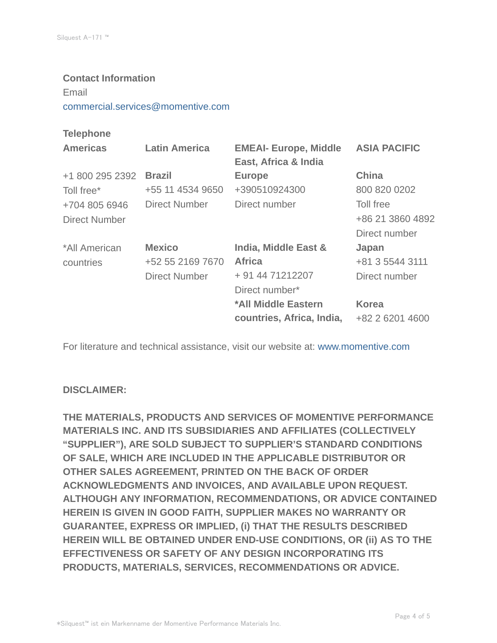## **Contact Information** Email commercial.services@momentive.com

#### **Telephone**

| <b>Americas</b>      | <b>Latin America</b> | <b>EMEAI- Europe, Middle</b> | <b>ASIA PACIFIC</b> |
|----------------------|----------------------|------------------------------|---------------------|
|                      |                      | East, Africa & India         |                     |
| +1 800 295 2392      | <b>Brazil</b>        | <b>Europe</b>                | <b>China</b>        |
| Toll free*           | +55 11 4534 9650     | +390510924300                | 800 820 0202        |
| +704 805 6946        | Direct Number        | Direct number                | Toll free           |
| <b>Direct Number</b> |                      |                              | +86 21 3860 4892    |
|                      |                      |                              | Direct number       |
| *All American        | <b>Mexico</b>        | India, Middle East &         | Japan               |
| countries            | +52 55 2169 7670     | <b>Africa</b>                | +81 3 5544 3111     |
|                      | <b>Direct Number</b> | + 91 44 71212207             | Direct number       |
|                      |                      | Direct number*               |                     |
|                      |                      | *All Middle Eastern          | <b>Korea</b>        |
|                      |                      | countries, Africa, India,    | +82 2 6201 4600     |

For literature and technical assistance, visit our website at: www.momentive.com

#### **DISCLAIMER:**

**THE MATERIALS, PRODUCTS AND SERVICES OF MOMENTIVE PERFORMANCE MATERIALS INC. AND ITS SUBSIDIARIES AND AFFILIATES (COLLECTIVELY "SUPPLIER"), ARE SOLD SUBJECT TO SUPPLIER'S STANDARD CONDITIONS OF SALE, WHICH ARE INCLUDED IN THE APPLICABLE DISTRIBUTOR OR OTHER SALES AGREEMENT, PRINTED ON THE BACK OF ORDER ACKNOWLEDGMENTS AND INVOICES, AND AVAILABLE UPON REQUEST. ALTHOUGH ANY INFORMATION, RECOMMENDATIONS, OR ADVICE CONTAINED HEREIN IS GIVEN IN GOOD FAITH, SUPPLIER MAKES NO WARRANTY OR GUARANTEE, EXPRESS OR IMPLIED, (i) THAT THE RESULTS DESCRIBED HEREIN WILL BE OBTAINED UNDER END-USE CONDITIONS, OR (ii) AS TO THE EFFECTIVENESS OR SAFETY OF ANY DESIGN INCORPORATING ITS PRODUCTS, MATERIALS, SERVICES, RECOMMENDATIONS OR ADVICE.**